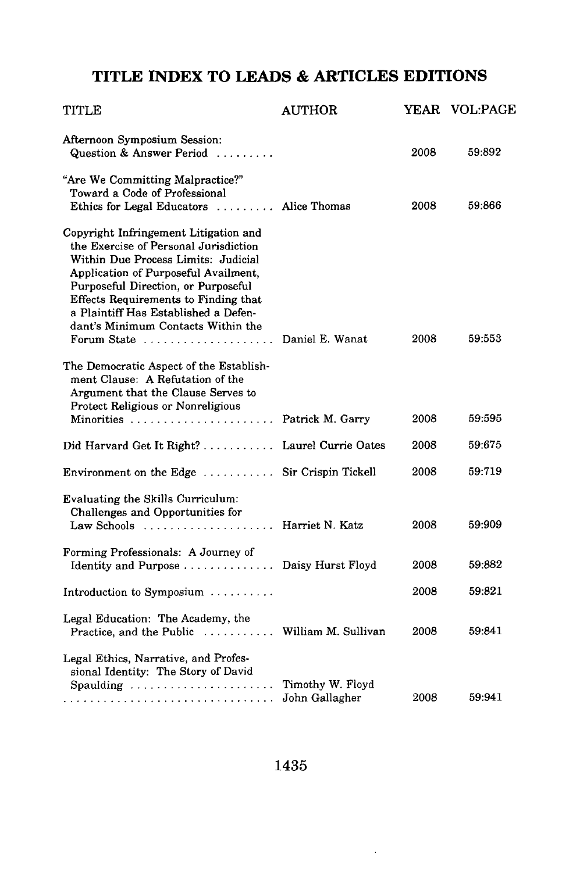## **TITLE INDEX TO LEADS & ARTICLES EDITIONS**

| TITLE                                                                                                                                                                                                                                                                                                                                                                                 | <b>AUTHOR</b>   |      | YEAR VOL:PAGE |
|---------------------------------------------------------------------------------------------------------------------------------------------------------------------------------------------------------------------------------------------------------------------------------------------------------------------------------------------------------------------------------------|-----------------|------|---------------|
| Afternoon Symposium Session:<br>Question & Answer Period                                                                                                                                                                                                                                                                                                                              |                 | 2008 | 59:892        |
| "Are We Committing Malpractice?"<br>Toward a Code of Professional<br>Ethics for Legal Educators  Alice Thomas                                                                                                                                                                                                                                                                         |                 | 2008 | 59:866        |
| Copyright Infringement Litigation and<br>the Exercise of Personal Jurisdiction<br>Within Due Process Limits: Judicial<br>Application of Purposeful Availment,<br>Purposeful Direction, or Purposeful<br>Effects Requirements to Finding that<br>a Plaintiff Has Established a Defen-<br>dant's Minimum Contacts Within the<br>Forum State $\ldots \ldots \ldots \ldots \ldots \ldots$ | Daniel E. Wanat | 2008 | 59:553        |
| The Democratic Aspect of the Establish-<br>ment Clause: A Refutation of the<br>Argument that the Clause Serves to<br>Protect Religious or Nonreligious<br>Minorities  Patrick M. Garry                                                                                                                                                                                                |                 | 2008 | 59:595        |
|                                                                                                                                                                                                                                                                                                                                                                                       |                 |      |               |
| Did Harvard Get It Right? Laurel Currie Oates                                                                                                                                                                                                                                                                                                                                         |                 | 2008 | 59:675        |
| Environment on the Edge  Sir Crispin Tickell                                                                                                                                                                                                                                                                                                                                          |                 | 2008 | 59:719        |
| Evaluating the Skills Curriculum:<br>Challenges and Opportunities for<br>Law Schools  Harriet N. Katz                                                                                                                                                                                                                                                                                 |                 | 2008 | 59:909        |
| Forming Professionals: A Journey of<br>Identity and Purpose  Daisy Hurst Floyd                                                                                                                                                                                                                                                                                                        |                 | 2008 | 59:882        |
| Introduction to Symposium                                                                                                                                                                                                                                                                                                                                                             |                 | 2008 | 59:821        |
| Legal Education: The Academy, the<br>Practice, and the Public  William M. Sullivan                                                                                                                                                                                                                                                                                                    |                 | 2008 | 59:841        |
| Legal Ethics, Narrative, and Profes-<br>sional Identity: The Story of David<br>Spaulding  Timothy W. Floyd                                                                                                                                                                                                                                                                            | John Gallagher  | 2008 | 59:941        |

 $\epsilon$